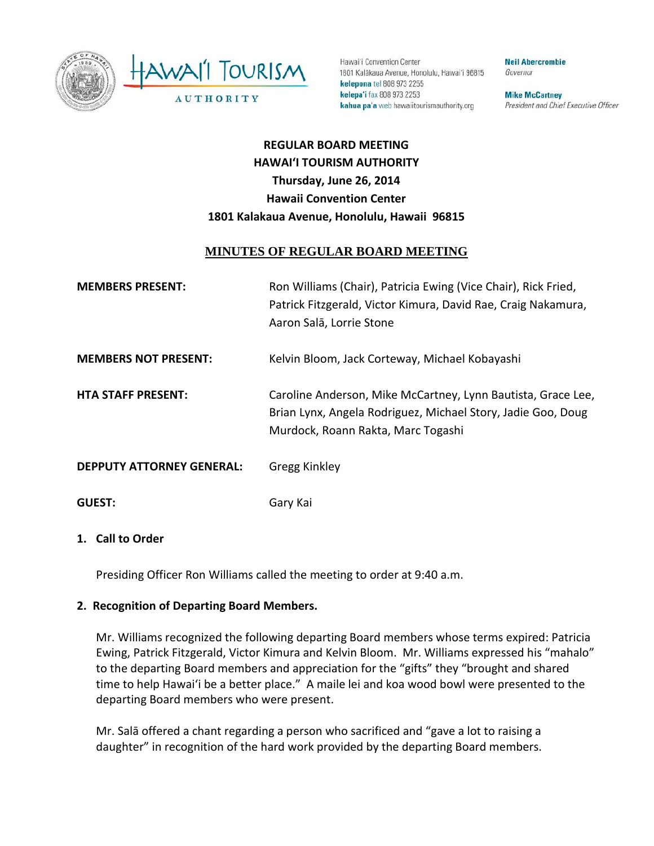



Hawai'i Convention Center 1801 Kalākaua Avenue, Honolulu, Hawai'i 96815 kelepona tel 808 973 2255 kelepa'i fax 808 973 2253 kahua pa'a web hawaiitourismauthority.org

**Neil Abercrombie** Governor

**Mike McCartney** President and Chief Executive Officer

# **REGULAR BOARD MEETING HAWAI'I TOURISM AUTHORITY Thursday, June 26, 2014 Hawaii Convention Center 1801 Kalakaua Avenue, Honolulu, Hawaii 96815**

## **MINUTES OF REGULAR BOARD MEETING**

| <b>MEMBERS PRESENT:</b>          | Ron Williams (Chair), Patricia Ewing (Vice Chair), Rick Fried,<br>Patrick Fitzgerald, Victor Kimura, David Rae, Craig Nakamura,<br>Aaron Salā, Lorrie Stone        |
|----------------------------------|--------------------------------------------------------------------------------------------------------------------------------------------------------------------|
| <b>MEMBERS NOT PRESENT:</b>      | Kelvin Bloom, Jack Corteway, Michael Kobayashi                                                                                                                     |
| <b>HTA STAFF PRESENT:</b>        | Caroline Anderson, Mike McCartney, Lynn Bautista, Grace Lee,<br>Brian Lynx, Angela Rodriguez, Michael Story, Jadie Goo, Doug<br>Murdock, Roann Rakta, Marc Togashi |
| <b>DEPPUTY ATTORNEY GENERAL:</b> | Gregg Kinkley                                                                                                                                                      |
| <b>GUEST:</b>                    | Gary Kai                                                                                                                                                           |

#### **1. Call to Order**

Presiding Officer Ron Williams called the meeting to order at 9:40 a.m.

## **2. Recognition of Departing Board Members.**

Mr. Williams recognized the following departing Board members whose terms expired: Patricia Ewing, Patrick Fitzgerald, Victor Kimura and Kelvin Bloom. Mr. Williams expressed his "mahalo" to the departing Board members and appreciation for the "gifts" they "brought and shared time to help Hawai'i be a better place." A maile lei and koa wood bowl were presented to the departing Board members who were present.

Mr. Salā offered a chant regarding a person who sacrificed and "gave a lot to raising a daughter" in recognition of the hard work provided by the departing Board members.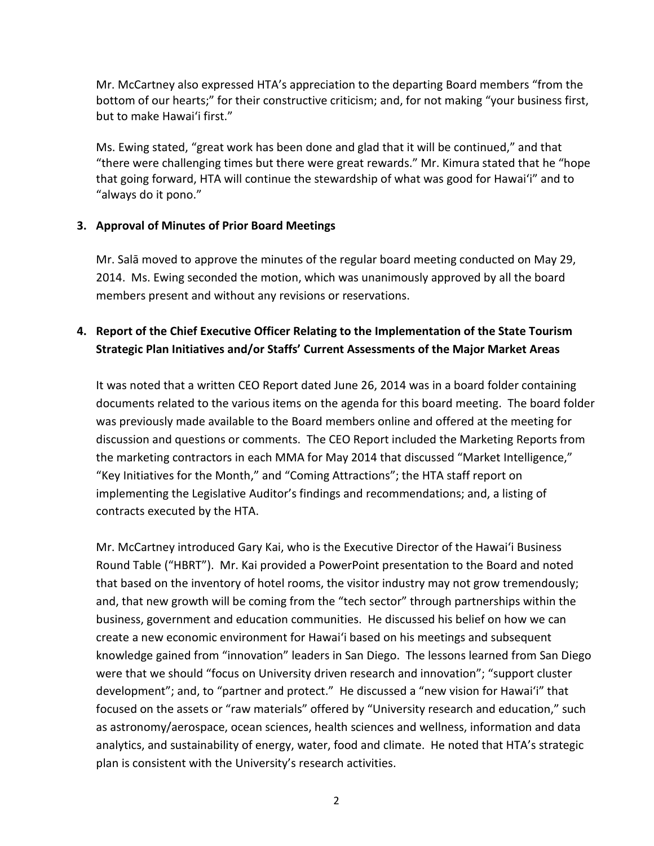Mr. McCartney also expressed HTA's appreciation to the departing Board members "from the bottom of our hearts;" for their constructive criticism; and, for not making "your business first, but to make Hawai'i first."

Ms. Ewing stated, "great work has been done and glad that it will be continued," and that "there were challenging times but there were great rewards." Mr. Kimura stated that he "hope that going forward, HTA will continue the stewardship of what was good for Hawai'i" and to "always do it pono."

## **3. Approval of Minutes of Prior Board Meetings**

Mr. Salā moved to approve the minutes of the regular board meeting conducted on May 29, 2014. Ms. Ewing seconded the motion, which was unanimously approved by all the board members present and without any revisions or reservations.

# **4. Report of the Chief Executive Officer Relating to the Implementation of the State Tourism Strategic Plan Initiatives and/or Staffs' Current Assessments of the Major Market Areas**

It was noted that a written CEO Report dated June 26, 2014 was in a board folder containing documents related to the various items on the agenda for this board meeting. The board folder was previously made available to the Board members online and offered at the meeting for discussion and questions or comments. The CEO Report included the Marketing Reports from the marketing contractors in each MMA for May 2014 that discussed "Market Intelligence," "Key Initiatives for the Month," and "Coming Attractions"; the HTA staff report on implementing the Legislative Auditor's findings and recommendations; and, a listing of contracts executed by the HTA.

Mr. McCartney introduced Gary Kai, who is the Executive Director of the Hawai'i Business Round Table ("HBRT"). Mr. Kai provided a PowerPoint presentation to the Board and noted that based on the inventory of hotel rooms, the visitor industry may not grow tremendously; and, that new growth will be coming from the "tech sector" through partnerships within the business, government and education communities. He discussed his belief on how we can create a new economic environment for Hawai'i based on his meetings and subsequent knowledge gained from "innovation" leaders in San Diego. The lessons learned from San Diego were that we should "focus on University driven research and innovation"; "support cluster development"; and, to "partner and protect." He discussed a "new vision for Hawai'i" that focused on the assets or "raw materials" offered by "University research and education," such as astronomy/aerospace, ocean sciences, health sciences and wellness, information and data analytics, and sustainability of energy, water, food and climate. He noted that HTA's strategic plan is consistent with the University's research activities.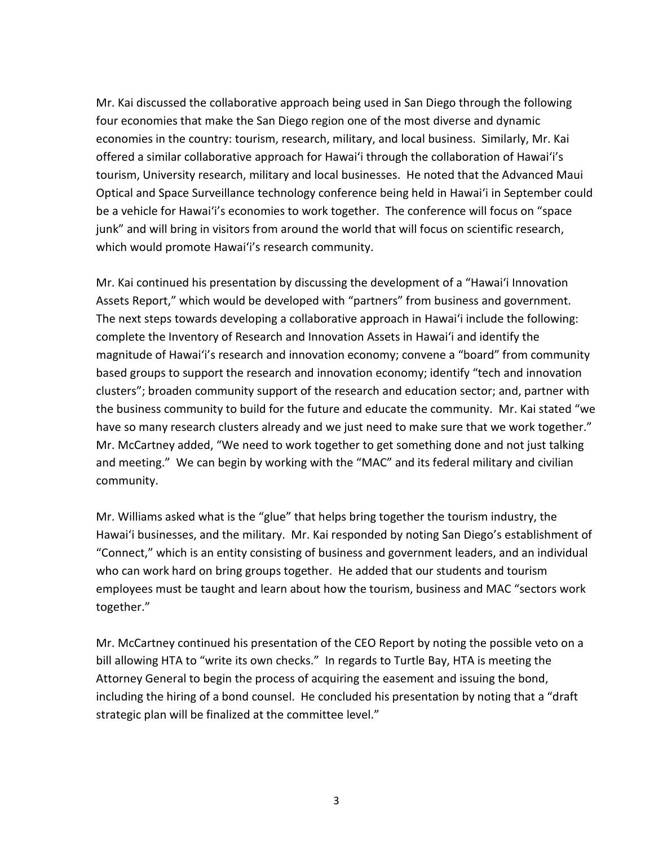Mr. Kai discussed the collaborative approach being used in San Diego through the following four economies that make the San Diego region one of the most diverse and dynamic economies in the country: tourism, research, military, and local business. Similarly, Mr. Kai offered a similar collaborative approach for Hawai'i through the collaboration of Hawai'i's tourism, University research, military and local businesses. He noted that the Advanced Maui Optical and Space Surveillance technology conference being held in Hawai'i in September could be a vehicle for Hawai'i's economies to work together. The conference will focus on "space junk" and will bring in visitors from around the world that will focus on scientific research, which would promote Hawai'i's research community.

Mr. Kai continued his presentation by discussing the development of a "Hawai'i Innovation Assets Report," which would be developed with "partners" from business and government. The next steps towards developing a collaborative approach in Hawai'i include the following: complete the Inventory of Research and Innovation Assets in Hawai'i and identify the magnitude of Hawai'i's research and innovation economy; convene a "board" from community based groups to support the research and innovation economy; identify "tech and innovation clusters"; broaden community support of the research and education sector; and, partner with the business community to build for the future and educate the community. Mr. Kai stated "we have so many research clusters already and we just need to make sure that we work together." Mr. McCartney added, "We need to work together to get something done and not just talking and meeting." We can begin by working with the "MAC" and its federal military and civilian community.

Mr. Williams asked what is the "glue" that helps bring together the tourism industry, the Hawai'i businesses, and the military. Mr. Kai responded by noting San Diego's establishment of "Connect," which is an entity consisting of business and government leaders, and an individual who can work hard on bring groups together. He added that our students and tourism employees must be taught and learn about how the tourism, business and MAC "sectors work together."

Mr. McCartney continued his presentation of the CEO Report by noting the possible veto on a bill allowing HTA to "write its own checks." In regards to Turtle Bay, HTA is meeting the Attorney General to begin the process of acquiring the easement and issuing the bond, including the hiring of a bond counsel. He concluded his presentation by noting that a "draft strategic plan will be finalized at the committee level."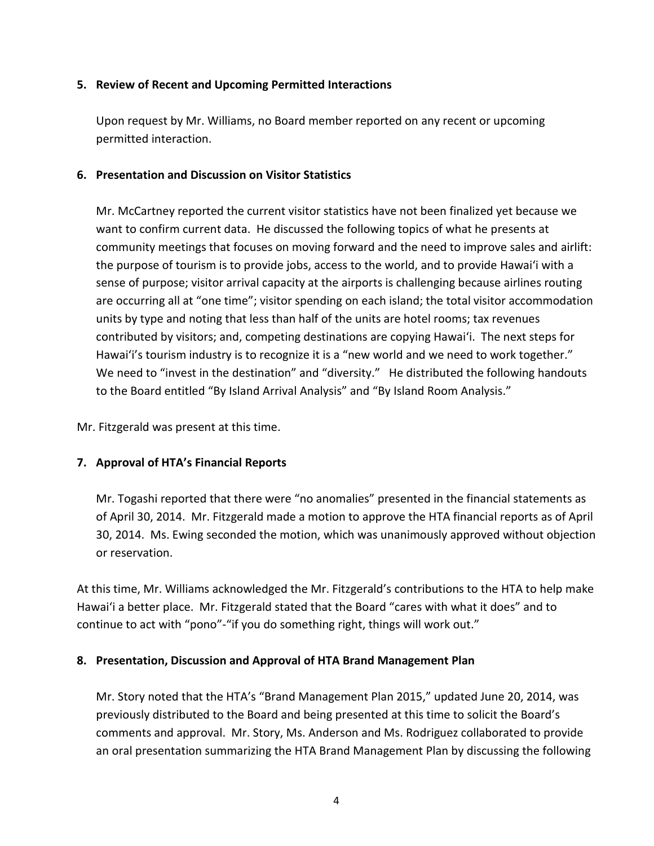#### **5. Review of Recent and Upcoming Permitted Interactions**

Upon request by Mr. Williams, no Board member reported on any recent or upcoming permitted interaction.

#### **6. Presentation and Discussion on Visitor Statistics**

Mr. McCartney reported the current visitor statistics have not been finalized yet because we want to confirm current data. He discussed the following topics of what he presents at community meetings that focuses on moving forward and the need to improve sales and airlift: the purpose of tourism is to provide jobs, access to the world, and to provide Hawai'i with a sense of purpose; visitor arrival capacity at the airports is challenging because airlines routing are occurring all at "one time"; visitor spending on each island; the total visitor accommodation units by type and noting that less than half of the units are hotel rooms; tax revenues contributed by visitors; and, competing destinations are copying Hawai'i. The next steps for Hawai'i's tourism industry is to recognize it is a "new world and we need to work together." We need to "invest in the destination" and "diversity." He distributed the following handouts to the Board entitled "By Island Arrival Analysis" and "By Island Room Analysis."

Mr. Fitzgerald was present at this time.

## **7. Approval of HTA's Financial Reports**

Mr. Togashi reported that there were "no anomalies" presented in the financial statements as of April 30, 2014. Mr. Fitzgerald made a motion to approve the HTA financial reports as of April 30, 2014. Ms. Ewing seconded the motion, which was unanimously approved without objection or reservation.

At this time, Mr. Williams acknowledged the Mr. Fitzgerald's contributions to the HTA to help make Hawai'i a better place. Mr. Fitzgerald stated that the Board "cares with what it does" and to continue to act with "pono"-"if you do something right, things will work out."

## **8. Presentation, Discussion and Approval of HTA Brand Management Plan**

Mr. Story noted that the HTA's "Brand Management Plan 2015," updated June 20, 2014, was previously distributed to the Board and being presented at this time to solicit the Board's comments and approval. Mr. Story, Ms. Anderson and Ms. Rodriguez collaborated to provide an oral presentation summarizing the HTA Brand Management Plan by discussing the following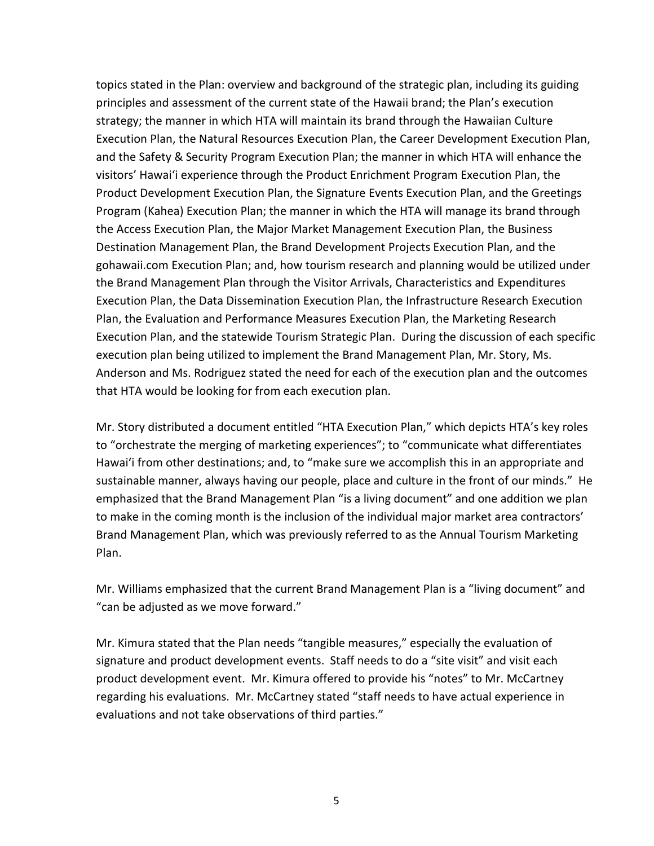topics stated in the Plan: overview and background of the strategic plan, including its guiding principles and assessment of the current state of the Hawaii brand; the Plan's execution strategy; the manner in which HTA will maintain its brand through the Hawaiian Culture Execution Plan, the Natural Resources Execution Plan, the Career Development Execution Plan, and the Safety & Security Program Execution Plan; the manner in which HTA will enhance the visitors' Hawai'i experience through the Product Enrichment Program Execution Plan, the Product Development Execution Plan, the Signature Events Execution Plan, and the Greetings Program (Kahea) Execution Plan; the manner in which the HTA will manage its brand through the Access Execution Plan, the Major Market Management Execution Plan, the Business Destination Management Plan, the Brand Development Projects Execution Plan, and the gohawaii.com Execution Plan; and, how tourism research and planning would be utilized under the Brand Management Plan through the Visitor Arrivals, Characteristics and Expenditures Execution Plan, the Data Dissemination Execution Plan, the Infrastructure Research Execution Plan, the Evaluation and Performance Measures Execution Plan, the Marketing Research Execution Plan, and the statewide Tourism Strategic Plan. During the discussion of each specific execution plan being utilized to implement the Brand Management Plan, Mr. Story, Ms. Anderson and Ms. Rodriguez stated the need for each of the execution plan and the outcomes that HTA would be looking for from each execution plan.

Mr. Story distributed a document entitled "HTA Execution Plan," which depicts HTA's key roles to "orchestrate the merging of marketing experiences"; to "communicate what differentiates Hawai'i from other destinations; and, to "make sure we accomplish this in an appropriate and sustainable manner, always having our people, place and culture in the front of our minds." He emphasized that the Brand Management Plan "is a living document" and one addition we plan to make in the coming month is the inclusion of the individual major market area contractors' Brand Management Plan, which was previously referred to as the Annual Tourism Marketing Plan.

Mr. Williams emphasized that the current Brand Management Plan is a "living document" and "can be adjusted as we move forward."

Mr. Kimura stated that the Plan needs "tangible measures," especially the evaluation of signature and product development events. Staff needs to do a "site visit" and visit each product development event. Mr. Kimura offered to provide his "notes" to Mr. McCartney regarding his evaluations. Mr. McCartney stated "staff needs to have actual experience in evaluations and not take observations of third parties."